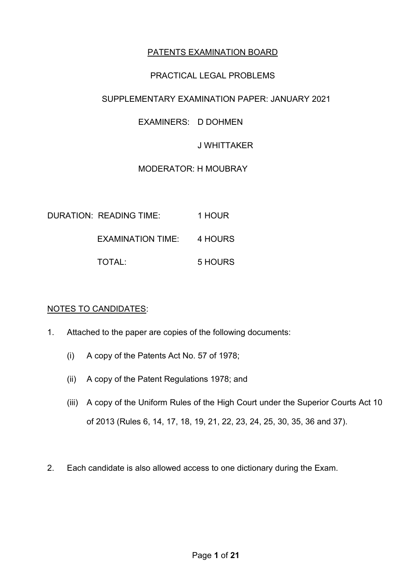## PATENTS EXAMINATION BOARD

## PRACTICAL LEGAL PROBLEMS

## SUPPLEMENTARY EXAMINATION PAPER: JANUARY 2021

## EXAMINERS: D DOHMEN

#### J WHITTAKER

### MODERATOR: H MOUBRAY

| <b>DURATION: READING TIME:</b> | 1 HOUR  |  |
|--------------------------------|---------|--|
| EXAMINATION TIME: 4 HOURS      |         |  |
| TOTAL:                         | 5 HOURS |  |

#### NOTES TO CANDIDATES:

- 1. Attached to the paper are copies of the following documents:
	- (i) A copy of the Patents Act No. 57 of 1978;
	- (ii) A copy of the Patent Regulations 1978; and
	- (iii) A copy of the Uniform Rules of the High Court under the Superior Courts Act 10 of 2013 (Rules 6, 14, 17, 18, 19, 21, 22, 23, 24, 25, 30, 35, 36 and 37).
- 2. Each candidate is also allowed access to one dictionary during the Exam.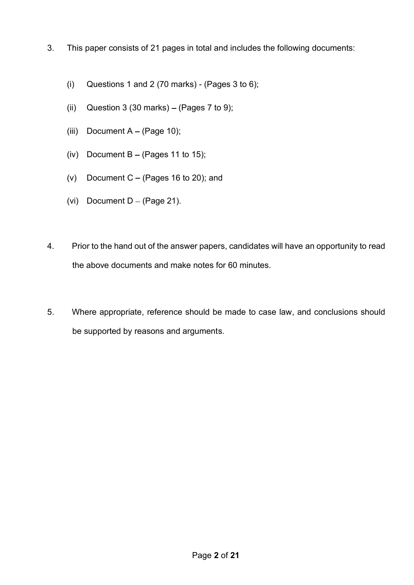- 3. This paper consists of 21 pages in total and includes the following documents:
	- (i) Questions 1 and 2 (70 marks) (Pages 3 to 6);
	- (ii) Question 3 (30 marks)  $-$  (Pages 7 to 9);
	- (iii) Document  $A (Page 10);$
	- (iv) Document  $B (Pages 11 to 15);$
	- (v) Document  $C (Pages 16 to 20)$ ; and
	- (vi) Document  $D (Page 21)$ .
- 4. Prior to the hand out of the answer papers, candidates will have an opportunity to read the above documents and make notes for 60 minutes.
- 5. Where appropriate, reference should be made to case law, and conclusions should be supported by reasons and arguments.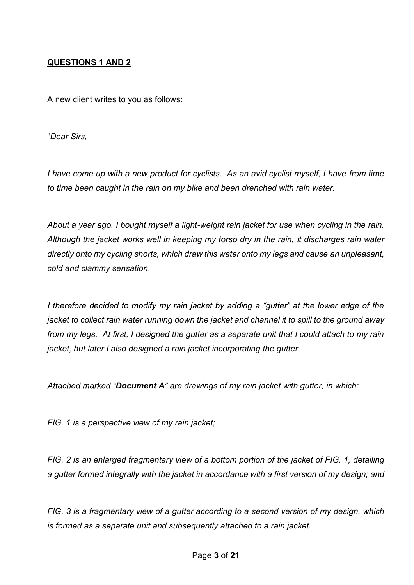## QUESTIONS 1 AND 2

A new client writes to you as follows:

Dear Sirs,

I have come up with a new product for cyclists. As an avid cyclist myself, I have from time to time been caught in the rain on my bike and been drenched with rain water.

About a year ago, I bought myself a light-weight rain jacket for use when cycling in the rain. Although the jacket works well in keeping my torso dry in the rain, it discharges rain water directly onto my cycling shorts, which draw this water onto my legs and cause an unpleasant, cold and clammy sensation.

I therefore decided to modify my rain jacket by adding a "gutter" at the lower edge of the jacket to collect rain water running down the jacket and channel it to spill to the ground away from my legs. At first, I designed the gutter as a separate unit that I could attach to my rain jacket, but later I also designed a rain jacket incorporating the gutter.

Attached marked "Document A" are drawings of my rain jacket with gutter, in which:

FIG. 1 is a perspective view of my rain jacket;

FIG. 2 is an enlarged fragmentary view of a bottom portion of the jacket of FIG. 1, detailing a gutter formed integrally with the jacket in accordance with a first version of my design; and

FIG. 3 is a fragmentary view of a gutter according to a second version of my design, which is formed as a separate unit and subsequently attached to a rain jacket.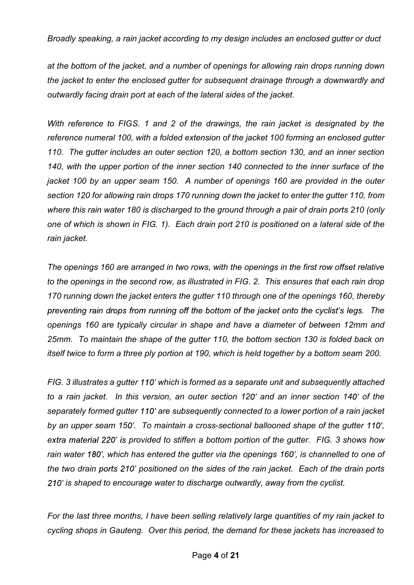Broadly speaking, a rain jacket according to my design includes an enclosed gutter or duct

at the bottom of the jacket, and a number of openings for allowing rain drops running down the jacket to enter the enclosed gutter for subsequent drainage through a downwardly and outwardly facing drain port at each of the lateral sides of the jacket.

With reference to FIGS. 1 and 2 of the drawings, the rain jacket is designated by the reference numeral 100, with a folded extension of the jacket 100 forming an enclosed gutter 110. The gutter includes an outer section 120, a bottom section 130, and an inner section 140, with the upper portion of the inner section 140 connected to the inner surface of the jacket 100 by an upper seam 150. A number of openings 160 are provided in the outer section 120 for allowing rain drops 170 running down the jacket to enter the gutter 110, from where this rain water 180 is discharged to the ground through a pair of drain ports 210 (only one of which is shown in FIG. 1). Each drain port 210 is positioned on a lateral side of the rain jacket.

The openings 160 are arranged in two rows, with the openings in the first row offset relative to the openings in the second row, as illustrated in FIG. 2. This ensures that each rain drop 170 running down the jacket enters the gutter 110 through one of the openings 160, thereby preventing rain drops from running off the bottom of the jacket onto the cyclist's legs. The openings 160 are typically circular in shape and have a diameter of between 12mm and 25mm. To maintain the shape of the gutter 110, the bottom section 130 is folded back on itself twice to form a three ply portion at 190, which is held together by a bottom seam 200.

FIG. 3 illustrates a gutter 110' which is formed as a separate unit and subsequently attached to a rain jacket. In this version, an outer section 120' and an inner section 140' of the separately formed gutter 110' are subsequently connected to a lower portion of a rain jacket by an upper seam 150'. To maintain a cross-sectional ballooned shape of the gutter 110',<br>extra material 220' is provided to stiffen a bottom portion of the gutter. FIG. 3 shows how rain water 180', which has entered the gutter via the openings 160', is channelled to one of the two drain ports 210' positioned on the sides of the rain jacket. Each of the drain ports 210' is shaped to encourage water to discharge outwardly, away from the cyclist.

For the last three months, I have been selling relatively large quantities of my rain jacket to cycling shops in Gauteng. Over this period, the demand for these jackets has increased to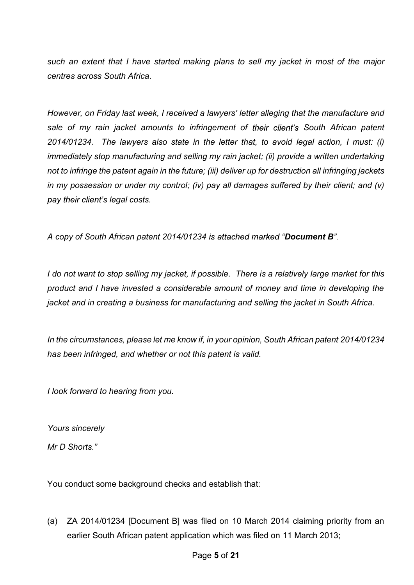such an extent that I have started making plans to sell my jacket in most of the major centres across South Africa.

However, on Friday last week, I received a lawyers' letter alleging that the manufacture and sale of my rain jacket amounts to infringement of their client's South African patent 2014/01234. The lawyers also state in the letter that, to avoid legal action, I must: (i) immediately stop manufacturing and selling my rain jacket; (ii) provide a written undertaking not to infringe the patent again in the future; (iii) deliver up for destruction all infringing jackets in my possession or under my control; (iv) pay all damages suffered by their client; and (v) pay their client's legal costs.

A copy of South African patent 2014/01234 is attached marked "Document B".

I do not want to stop selling my jacket, if possible. There is a relatively large market for this product and I have invested a considerable amount of money and time in developing the jacket and in creating a business for manufacturing and selling the jacket in South Africa.

In the circumstances, please let me know if, in your opinion, South African patent 2014/01234 has been infringed, and whether or not this patent is valid.

I look forward to hearing from you.

Yours sincerely Mr D Shorts "

You conduct some background checks and establish that:

(a) ZA 2014/01234 [Document B] was filed on 10 March 2014 claiming priority from an earlier South African patent application which was filed on 11 March 2013;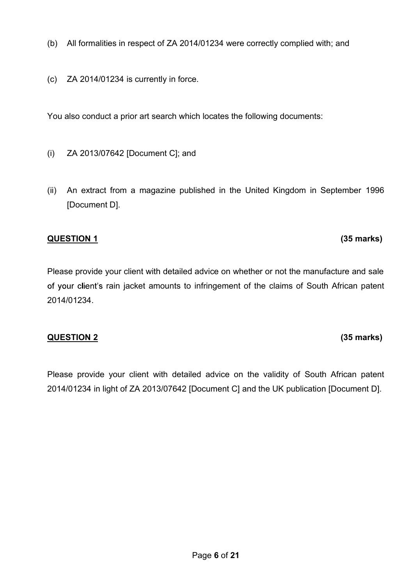- (b) All formalities in respect of ZA 2014/01234 were correctly complied with; and
- (c) ZA 2014/01234 is currently in force.

You also conduct a prior art search which locates the following documents:

- (i) ZA 2013/07642 [Document C]; and
- (ii) An extract from a magazine published in the United Kingdom in September 1996 [Document D].

#### QUESTION 1 (35 marks)

Please provide your client with detailed advice on whether or not the manufacture and sale of your client's rain jacket amounts to infringement of the claims of South African patent 2014/01234.

#### QUESTION 2 (35 marks)

Please provide your client with detailed advice on the validity of South African patent 2014/01234 in light of ZA 2013/07642 [Document C] and the UK publication [Document D].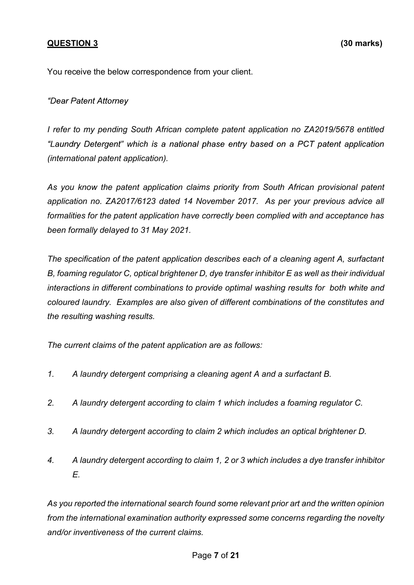## QUESTION 3 (30 marks)

You receive the below correspondence from your client.

"Dear Patent Attorney

I refer to my pending South African complete patent application no ZA2019/5678 entitled "Laundry Detergent" which is a national phase entry based on a PCT patent application (international patent application).

As you know the patent application claims priority from South African provisional patent application no. ZA2017/6123 dated 14 November 2017. As per your previous advice all formalities for the patent application have correctly been complied with and acceptance has been formally delayed to 31 May 2021.

The specification of the patent application describes each of a cleaning agent A, surfactant B, foaming regulator C, optical brightener D, dye transfer inhibitor E as well as their individual interactions in different combinations to provide optimal washing results for both white and coloured laundry. Examples are also given of different combinations of the constitutes and the resulting washing results.

The current claims of the patent application are as follows:

- 1. A laundry detergent comprising a cleaning agent A and a surfactant B.
- 2. A laundry detergent according to claim 1 which includes a foaming regulator C.
- 3. A laundry detergent according to claim 2 which includes an optical brightener D.
- 4. A laundry detergent according to claim 1, 2 or 3 which includes a dye transfer inhibitor E.

As you reported the international search found some relevant prior art and the written opinion from the international examination authority expressed some concerns regarding the novelty and/or inventiveness of the current claims.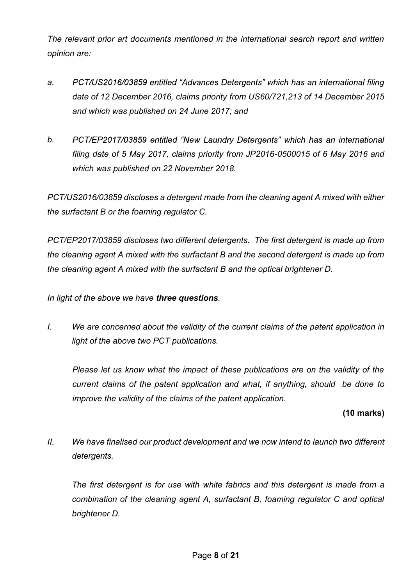The relevant prior art documents mentioned in the international search report and written opinion are:

- a. PCT/US2016/03859 entitled "Advances Detergents" which has an international filing date of 12 December 2016, claims priority from US60/721,213 of 14 December 2015 and which was published on 24 June 2017; and
- b. PCT/EP2017/03859 entitled "New Laundry Detergents" which has an international filing date of 5 May 2017, claims priority from JP2016-0500015 of 6 May 2016 and which was published on 22 November 2018.

PCT/US2016/03859 discloses a detergent made from the cleaning agent A mixed with either the surfactant B or the foaming regulator C.

PCT/EP2017/03859 discloses two different detergents. The first detergent is made up from the cleaning agent A mixed with the surfactant B and the second detergent is made up from the cleaning agent A mixed with the surfactant B and the optical brightener D.

In light of the above we have three questions.

I. We are concerned about the validity of the current claims of the patent application in light of the above two PCT publications.

Please let us know what the impact of these publications are on the validity of the current claims of the patent application and what, if anything, should be done to improve the validity of the claims of the patent application.

## (10 marks)

II. We have finalised our product development and we now intend to launch two different detergents.

The first detergent is for use with white fabrics and this detergent is made from a combination of the cleaning agent A, surfactant B, foaming regulator C and optical brightener D.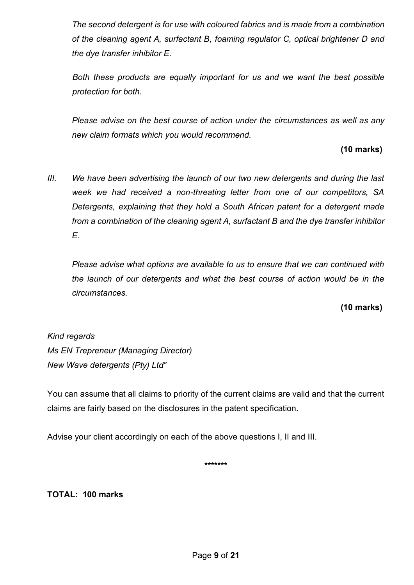The second detergent is for use with coloured fabrics and is made from a combination of the cleaning agent A, surfactant B, foaming regulator C, optical brightener D and the dye transfer inhibitor E.

Both these products are equally important for us and we want the best possible protection for both.

Please advise on the best course of action under the circumstances as well as any new claim formats which you would recommend.

# (10 marks)

III. We have been advertising the launch of our two new detergents and during the last week we had received a non-threating letter from one of our competitors, SA Detergents, explaining that they hold a South African patent for a detergent made from a combination of the cleaning agent A, surfactant B and the dye transfer inhibitor E.

Please advise what options are available to us to ensure that we can continued with the launch of our detergents and what the best course of action would be in the circumstances.

(10 marks)

# Kind regards

Ms EN Trepreneur (Managing Director) New Wave detergents (Pty) Ltd"

You can assume that all claims to priority of the current claims are valid and that the current claims are fairly based on the disclosures in the patent specification.

Advise your client accordingly on each of the above questions I, II and III.

\*\*\*\*\*\*\*

TOTAL: 100 marks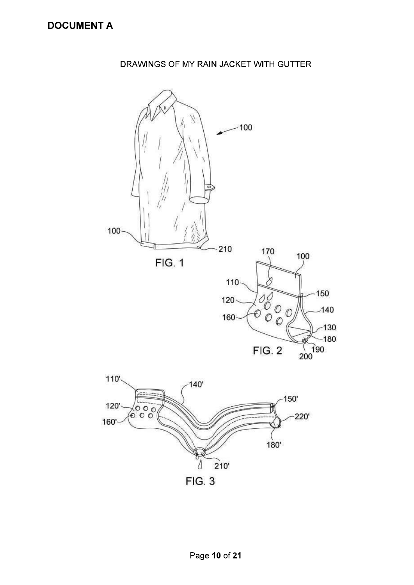# DRAWINGS OF MY RAIN JACKET WITH GUTTER

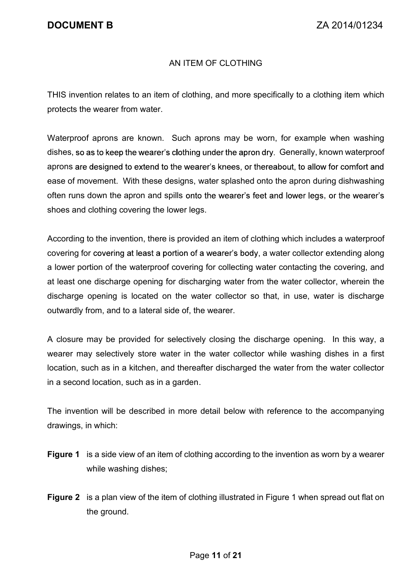## AN ITEM OF CLOTHING

THIS invention relates to an item of clothing, and more specifically to a clothing item which protects the wearer from water.

Waterproof aprons are known. Such aprons may be worn, for example when washing dishes, so as to keep the wearer's clothing under the apron dry. Generally, known waterproof aprons are designed to extend to the wearer's knees, or thereabout, to allow for comfort and ease of movement. With these designs, water splashed onto the apron during dishwashing often runs down the apron and spills onto the wearer's feet and lower legs, or the wearer's shoes and clothing covering the lower legs.

According to the invention, there is provided an item of clothing which includes a waterproof covering for covering at least a portion of a wearer's body, a water collector extending along a lower portion of the waterproof covering for collecting water contacting the covering, and at least one discharge opening for discharging water from the water collector, wherein the discharge opening is located on the water collector so that, in use, water is discharge outwardly from, and to a lateral side of, the wearer.

A closure may be provided for selectively closing the discharge opening. In this way, a wearer may selectively store water in the water collector while washing dishes in a first location, such as in a kitchen, and thereafter discharged the water from the water collector in a second location, such as in a garden.

The invention will be described in more detail below with reference to the accompanying drawings, in which:

- **Figure 1** is a side view of an item of clothing according to the invention as worn by a wearer while washing dishes;
- Figure 2 is a plan view of the item of clothing illustrated in Figure 1 when spread out flat on the ground.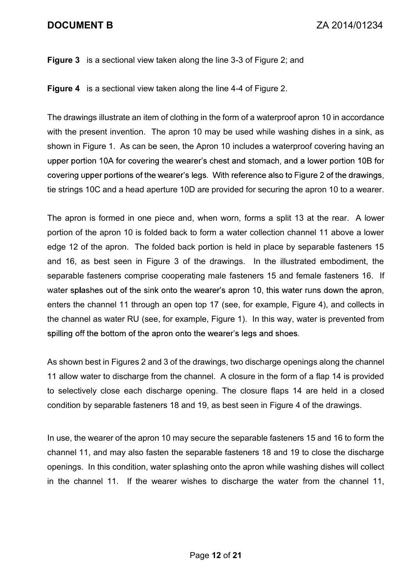# DOCUMENT B ZA 2014/01234

#### Figure 3 is a sectional view taken along the line 3-3 of Figure 2; and

Figure 4 is a sectional view taken along the line 4-4 of Figure 2.

The drawings illustrate an item of clothing in the form of a waterproof apron 10 in accordance with the present invention. The apron 10 may be used while washing dishes in a sink, as shown in Figure 1. As can be seen, the Apron 10 includes a waterproof covering having an upper portion 10A for covering the wearer's chest and stomach, and a lower portion 10B for covering upper portions of the wearer's legs. With reference also to Figure 2 of the drawings, tie strings 10C and a head aperture 10D are provided for securing the apron 10 to a wearer.

The apron is formed in one piece and, when worn, forms a split 13 at the rear. A lower portion of the apron 10 is folded back to form a water collection channel 11 above a lower edge 12 of the apron. The folded back portion is held in place by separable fasteners 15 and 16, as best seen in Figure 3 of the drawings. In the illustrated embodiment, the separable fasteners comprise cooperating male fasteners 15 and female fasteners 16. If water splashes out of the sink onto the wearer's apron 10, this water runs down the apron, enters the channel 11 through an open top 17 (see, for example, Figure 4), and collects in the channel as water RU (see, for example, Figure 1). In this way, water is prevented from spilling off the bottom of the apron onto the wearer's legs and shoes.

As shown best in Figures 2 and 3 of the drawings, two discharge openings along the channel 11 allow water to discharge from the channel. A closure in the form of a flap 14 is provided to selectively close each discharge opening. The closure flaps 14 are held in a closed condition by separable fasteners 18 and 19, as best seen in Figure 4 of the drawings.

In use, the wearer of the apron 10 may secure the separable fasteners 15 and 16 to form the channel 11, and may also fasten the separable fasteners 18 and 19 to close the discharge openings. In this condition, water splashing onto the apron while washing dishes will collect in the channel 11. If the wearer wishes to discharge the water from the channel 11,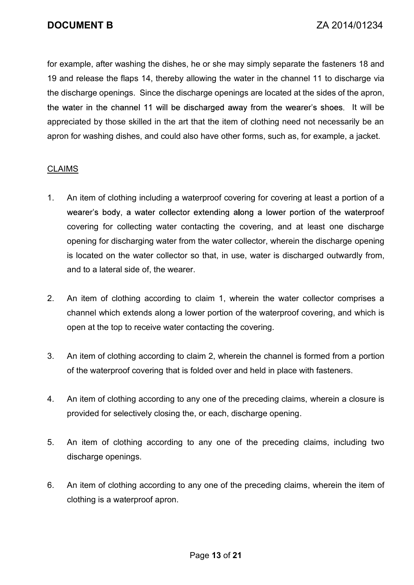for example, after washing the dishes, he or she may simply separate the fasteners 18 and 19 and release the flaps 14, thereby allowing the water in the channel 11 to discharge via the discharge openings. Since the discharge openings are located at the sides of the apron, the water in the channel 11 will be discharged away from the wearer's shoes. It will be appreciated by those skilled in the art that the item of clothing need not necessarily be an apron for washing dishes, and could also have other forms, such as, for example, a jacket.

### CLAIMS

- 1. An item of clothing including a waterproof covering for covering at least a portion of a wearer's body, a water collector extending along a lower portion of the waterproof covering for collecting water contacting the covering, and at least one discharge opening for discharging water from the water collector, wherein the discharge opening is located on the water collector so that, in use, water is discharged outwardly from, and to a lateral side of, the wearer.
- 2. An item of clothing according to claim 1, wherein the water collector comprises a channel which extends along a lower portion of the waterproof covering, and which is open at the top to receive water contacting the covering.
- 3. An item of clothing according to claim 2, wherein the channel is formed from a portion of the waterproof covering that is folded over and held in place with fasteners.
- 4. An item of clothing according to any one of the preceding claims, wherein a closure is provided for selectively closing the, or each, discharge opening.
- 5. An item of clothing according to any one of the preceding claims, including two discharge openings.
- 6. An item of clothing according to any one of the preceding claims, wherein the item of clothing is a waterproof apron.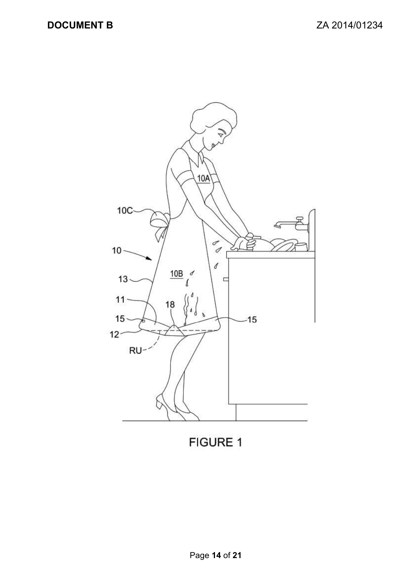

**FIGURE 1**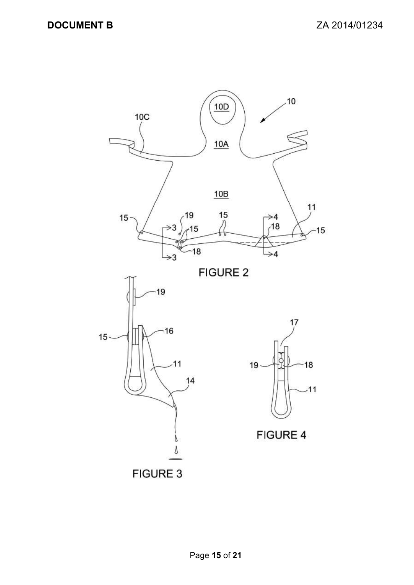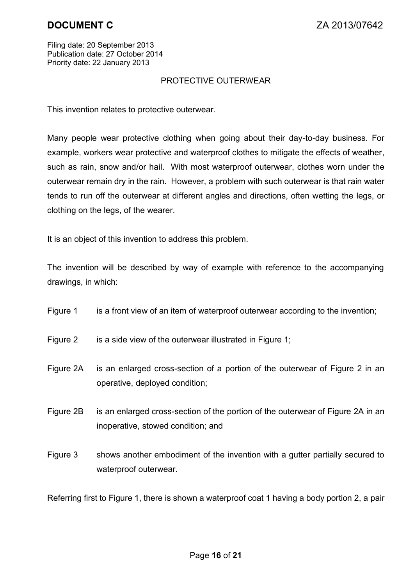Filing date: 20 September 2013 Publication date: 27 October 2014 Priority date: 22 January 2013

#### PROTECTIVE OUTERWEAR

This invention relates to protective outerwear.

Many people wear protective clothing when going about their day-to-day business. For example, workers wear protective and waterproof clothes to mitigate the effects of weather, such as rain, snow and/or hail. With most waterproof outerwear, clothes worn under the outerwear remain dry in the rain. However, a problem with such outerwear is that rain water tends to run off the outerwear at different angles and directions, often wetting the legs, or clothing on the legs, of the wearer.

It is an object of this invention to address this problem.

 The invention will be described by way of example with reference to the accompanying drawings, in which:

- Figure 1 is a front view of an item of waterproof outerwear according to the invention;
- Figure 2 is a side view of the outerwear illustrated in Figure 1;
- Figure 2A is an enlarged cross-section of a portion of the outerwear of Figure 2 in an operative, deployed condition;
- Figure 2B is an enlarged cross-section of the portion of the outerwear of Figure 2A in an inoperative, stowed condition; and
- Figure 3 shows another embodiment of the invention with a gutter partially secured to waterproof outerwear.

Referring first to Figure 1, there is shown a waterproof coat 1 having a body portion 2, a pair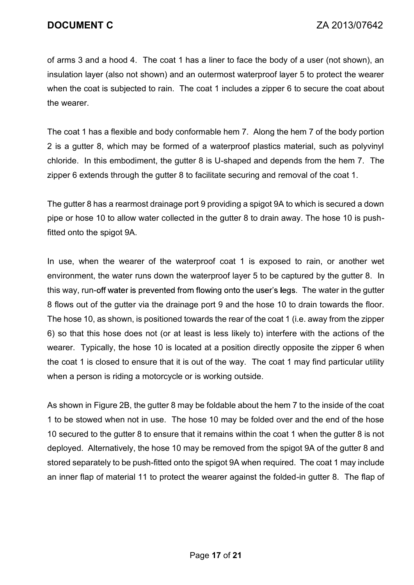of arms 3 and a hood 4. The coat 1 has a liner to face the body of a user (not shown), an insulation layer (also not shown) and an outermost waterproof layer 5 to protect the wearer when the coat is subjected to rain. The coat 1 includes a zipper 6 to secure the coat about the wearer.

The coat 1 has a flexible and body conformable hem 7. Along the hem 7 of the body portion 2 is a gutter 8, which may be formed of a waterproof plastics material, such as polyvinyl chloride. In this embodiment, the gutter 8 is U-shaped and depends from the hem 7. The zipper 6 extends through the gutter 8 to facilitate securing and removal of the coat 1.

The gutter 8 has a rearmost drainage port 9 providing a spigot 9A to which is secured a down pipe or hose 10 to allow water collected in the gutter 8 to drain away. The hose 10 is pushfitted onto the spigot 9A.

In use, when the wearer of the waterproof coat 1 is exposed to rain, or another wet environment, the water runs down the waterproof layer 5 to be captured by the gutter 8. In this way, run-off water is prevented from flowing onto the user's legs. The water in the gutter 8 flows out of the gutter via the drainage port 9 and the hose 10 to drain towards the floor. The hose 10, as shown, is positioned towards the rear of the coat 1 (i.e. away from the zipper 6) so that this hose does not (or at least is less likely to) interfere with the actions of the wearer. Typically, the hose 10 is located at a position directly opposite the zipper 6 when the coat 1 is closed to ensure that it is out of the way. The coat 1 may find particular utility when a person is riding a motorcycle or is working outside.

 As shown in Figure 2B, the gutter 8 may be foldable about the hem 7 to the inside of the coat 1 to be stowed when not in use. The hose 10 may be folded over and the end of the hose 10 secured to the gutter 8 to ensure that it remains within the coat 1 when the gutter 8 is not deployed. Alternatively, the hose 10 may be removed from the spigot 9A of the gutter 8 and stored separately to be push-fitted onto the spigot 9A when required. The coat 1 may include an inner flap of material 11 to protect the wearer against the folded-in gutter 8. The flap of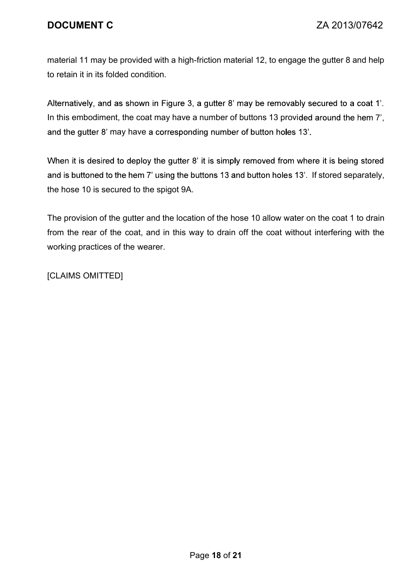# DOCUMENT C ZA 2013/07642

material 11 may be provided with a high-friction material 12, to engage the gutter 8 and help to retain it in its folded condition.

Alternatively, and as shown in Figure 3, a gutter 8' may be removably secured to a coat 1'. In this embodiment, the coat may have a number of buttons 13 provided around the hem 7', and the gutter 8' may have a corresponding number of button holes 13'.

When it is desired to deploy the gutter 8' it is simply removed from where it is being stored and is buttoned to the hem 7' using the buttons 13 and button holes 13'. If stored separately, the hose 10 is secured to the spigot 9A.

 The provision of the gutter and the location of the hose 10 allow water on the coat 1 to drain from the rear of the coat, and in this way to drain off the coat without interfering with the working practices of the wearer.

[CLAIMS OMITTED]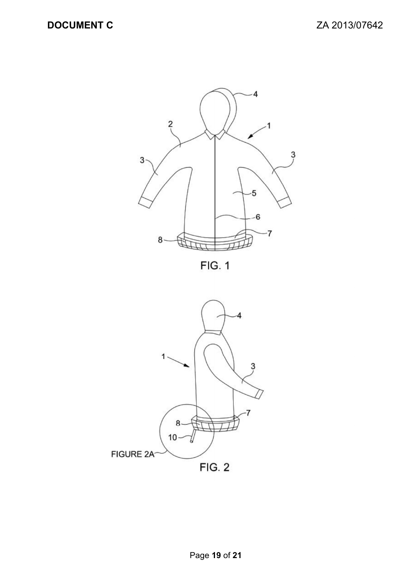

FIG. 1

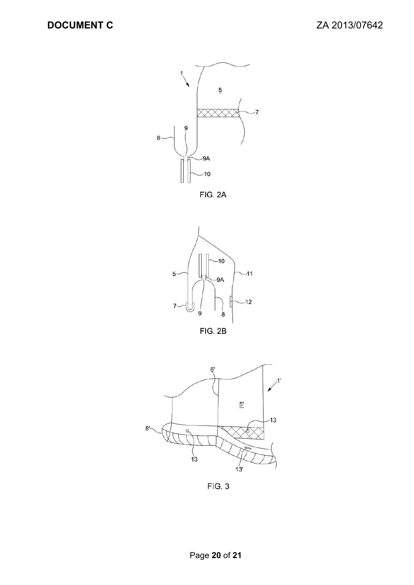

FIG. 2A





 $FIG. 3$